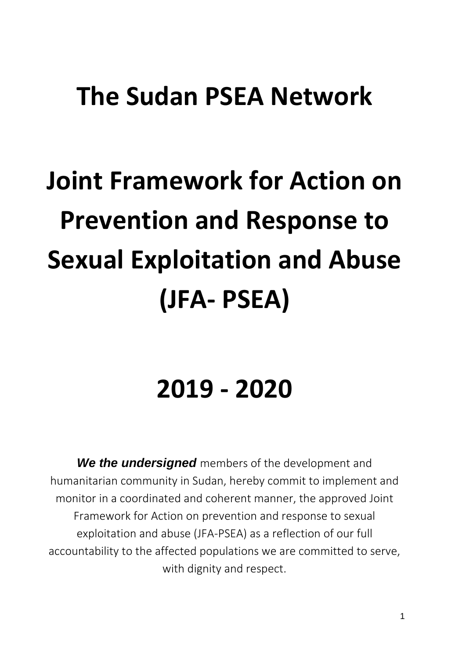## **The Sudan PSEA Network**

## **Joint Framework for Action on Prevention and Response to Sexual Exploitation and Abuse (JFA- PSEA)**

## **2019 - 2020**

*We the undersigned* members of the development and humanitarian community in Sudan, hereby commit to implement and monitor in a coordinated and coherent manner, the approved Joint Framework for Action on prevention and response to sexual exploitation and abuse (JFA-PSEA) as a reflection of our full accountability to the affected populations we are committed to serve, with dignity and respect.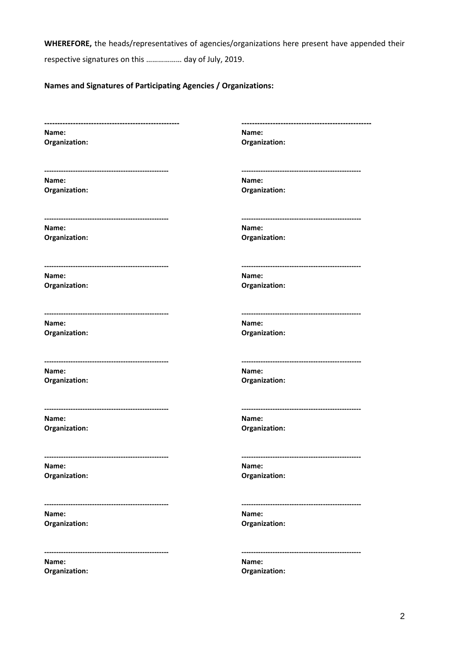**WHEREFORE,** the heads/representatives of agencies/organizations here present have appended their

respective signatures on this ……………… day of July, 2019.

## **Names and Signatures of Participating Agencies / Organizations:**

| Name:                                  | Name:                                |
|----------------------------------------|--------------------------------------|
| Organization:                          | Organization:                        |
|                                        |                                      |
| Name:                                  | Name:                                |
| Organization:                          | Organization:                        |
|                                        |                                      |
| Name:                                  | Name:                                |
| Organization:                          | Organization:                        |
|                                        |                                      |
| Name:                                  | Name:                                |
| Organization:                          | Organization:                        |
|                                        |                                      |
| Name:                                  | Name:                                |
| Organization:                          | Organization:                        |
|                                        |                                      |
| Name:                                  | Name:                                |
| Organization:                          | Organization:                        |
|                                        |                                      |
| Name:                                  | Name:                                |
| Organization:                          | Organization:                        |
|                                        |                                      |
| Name:                                  | Name:                                |
| Organization:                          | Organization:                        |
| -------------------------------------- | ------------------------------------ |
| Name:                                  | Name:                                |
| Organization:                          | Organization:                        |
| ---------------------------------      |                                      |
| Name:                                  | Name:                                |

**Organization: Organization:**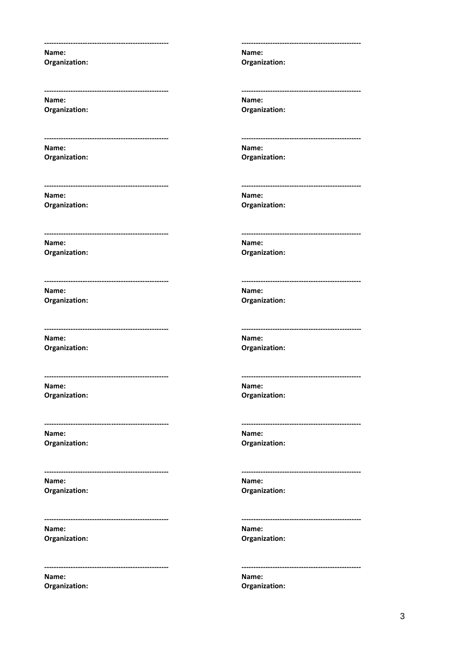Name: Organization:

Name: **Organization:** 

Name: Organization:

Name: Organization:

Name: Organization:

Name: Organization:

Name: Organization:

Name: Organization:

Name: Organization:

Name: Organization:

Name: Organization:

Name: Organization: Name: Organization:

Name: Organization:

Name: Organization:

Name: Organization:

Name: Organization:

Name: Organization:

Name: Organization:

Name: Organization:

Name:

Organization:

Name: Organization:

Name: Organization:

Name: Organization: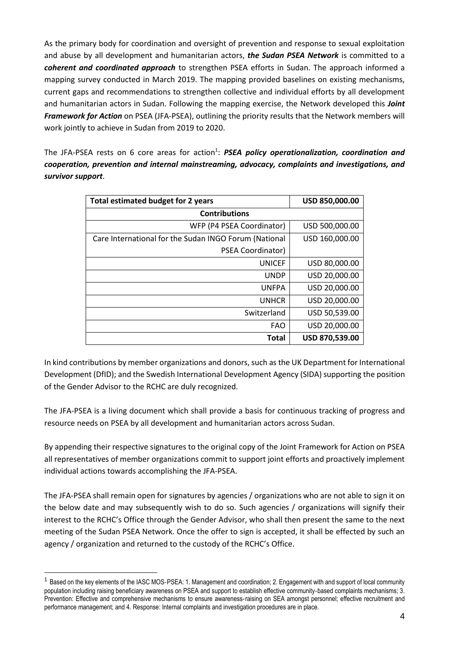As the primary body for coordination and oversight of prevention and response to sexual exploitation and abuse by all development and humanitarian actors, *the Sudan PSEA Network* is committed to a *coherent and coordinated approach* to strengthen PSEA efforts in Sudan. The approach informed a mapping survey conducted in March 2019. The mapping provided baselines on existing mechanisms, current gaps and recommendations to strengthen collective and individual efforts by all development and humanitarian actors in Sudan. Following the mapping exercise, the Network developed this *Joint Framework for Action* on PSEA (JFA-PSEA), outlining the priority results that the Network members will work jointly to achieve in Sudan from 2019 to 2020.

The JFA-PSEA rests on 6 core areas for action<sup>1</sup>: PSEA policy operationalization, coordination and *cooperation, prevention and internal mainstreaming, advocacy, complaints and investigations, and survivor support*.

| <b>Total estimated budget for 2 years</b>             | USD 850,000.00 |
|-------------------------------------------------------|----------------|
| <b>Contributions</b>                                  |                |
| WFP (P4 PSEA Coordinator)                             | USD 500,000.00 |
| Care International for the Sudan INGO Forum (National | USD 160,000.00 |
| PSEA Coordinator)                                     |                |
| <b>UNICEF</b>                                         | USD 80,000.00  |
| <b>UNDP</b>                                           | USD 20,000.00  |
| <b>UNFPA</b>                                          | USD 20,000.00  |
| <b>UNHCR</b>                                          | USD 20,000.00  |
| Switzerland                                           | USD 50,539.00  |
| <b>FAO</b>                                            | USD 20,000.00  |
| <b>Total</b>                                          | USD 870,539.00 |

In kind contributions by member organizations and donors, such as the UK Department for International Development (DfID); and the Swedish International Development Agency (SIDA) supporting the position of the Gender Advisor to the RCHC are duly recognized.

The JFA-PSEA is a living document which shall provide a basis for continuous tracking of progress and resource needs on PSEA by all development and humanitarian actors across Sudan.

By appending their respective signatures to the original copy of the Joint Framework for Action on PSEA all representatives of member organizations commit to support joint efforts and proactively implement individual actions towards accomplishing the JFA-PSEA.

The JFA-PSEA shall remain open for signatures by agencies / organizations who are not able to sign it on the below date and may subsequently wish to do so. Such agencies / organizations will signify their interest to the RCHC's Office through the Gender Advisor, who shall then present the same to the next meeting of the Sudan PSEA Network. Once the offer to sign is accepted, it shall be effected by such an agency / organization and returned to the custody of the RCHC's Office.

-

<sup>&</sup>lt;sup>1</sup> Based on the key elements of the IASC MOS-PSEA: 1. Management and coordination; 2. Engagement with and support of local community population including raising beneficiary awareness on PSEA and support to establish effective community-based complaints mechanisms; 3. Prevention: Effective and comprehensive mechanisms to ensure awareness-raising on SEA amongst personnel; effective recruitment and performance management; and 4. Response: Internal complaints and investigation procedures are in place.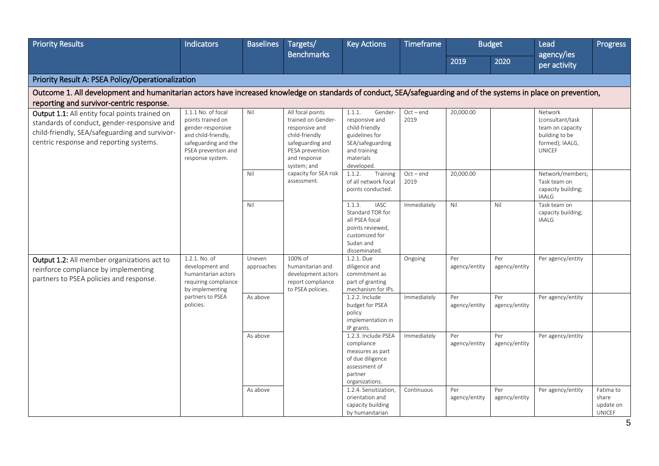| <b>Priority Results</b>                                                                                                                                                                    | <b>Indicators</b>                                                                                                                                        | <b>Baselines</b>     | Targets/                                                                                                                                         | <b>Key Actions</b>                                                                                                                    | <b>Timeframe</b>    |                      | <b>Budget</b>        | Lead                                                                                                  | <b>Progress</b>                                  |
|--------------------------------------------------------------------------------------------------------------------------------------------------------------------------------------------|----------------------------------------------------------------------------------------------------------------------------------------------------------|----------------------|--------------------------------------------------------------------------------------------------------------------------------------------------|---------------------------------------------------------------------------------------------------------------------------------------|---------------------|----------------------|----------------------|-------------------------------------------------------------------------------------------------------|--------------------------------------------------|
|                                                                                                                                                                                            |                                                                                                                                                          |                      | <b>Benchmarks</b>                                                                                                                                |                                                                                                                                       |                     | 2019                 | 2020                 | agency/ies<br>per activity                                                                            |                                                  |
| Priority Result A: PSEA Policy/Operationalization                                                                                                                                          |                                                                                                                                                          |                      |                                                                                                                                                  |                                                                                                                                       |                     |                      |                      |                                                                                                       |                                                  |
| Outcome 1. All development and humanitarian actors have increased knowledge on standards of conduct, SEA/safeguarding and of the systems in place on prevention,                           |                                                                                                                                                          |                      |                                                                                                                                                  |                                                                                                                                       |                     |                      |                      |                                                                                                       |                                                  |
| reporting and survivor-centric response.                                                                                                                                                   |                                                                                                                                                          |                      |                                                                                                                                                  |                                                                                                                                       |                     |                      |                      |                                                                                                       |                                                  |
| Output 1.1: All entity focal points trained on<br>standards of conduct, gender-responsive and<br>child-friendly, SEA/safeguarding and survivor-<br>centric response and reporting systems. | $1.1.1$ No. of focal<br>points trained on<br>gender-responsive<br>and child-friendly,<br>safeguarding and the<br>PSEA prevention and<br>response system. | Nil                  | All focal points<br>trained on Gender-<br>responsive and<br>child-friendly<br>safeguarding and<br>PESA prevention<br>and response<br>system; and | 1.1.1.<br>Gender-<br>responsive and<br>child-friendly<br>guidelines for<br>SEA/safeguarding<br>and training<br>materials<br>developed | $Oct - end$<br>2019 | 20,000.00            |                      | Network<br>(consultant/task<br>team on capacity<br>building to be<br>formed); IAALG,<br><b>UNICEF</b> |                                                  |
|                                                                                                                                                                                            |                                                                                                                                                          | Nil                  | capacity for SEA risk<br>assessment.                                                                                                             | 1.1.2.<br>Training<br>of all network focal<br>points conducted.                                                                       | $Oct-end$<br>2019   | 20,000.00            |                      | Network/members;<br>Task team on<br>capacity building;<br><b>IAALG</b>                                |                                                  |
|                                                                                                                                                                                            |                                                                                                                                                          | Nil                  |                                                                                                                                                  | <b>IASC</b><br>1.1.3.<br>Standard TOR for<br>all PSEA focal<br>points reviewed,<br>customized for<br>Sudan and<br>disseminated.       | Immediately         | Nil                  | Nil                  | Task team on<br>capacity building;<br><b>IAALG</b>                                                    |                                                  |
| Output 1.2: All member organizations act to<br>reinforce compliance by implementing<br>partners to PSEA policies and response.                                                             | 1.2.1. No. of<br>development and<br>humanitarian actors<br>requiring compliance<br>by implementing                                                       | Uneven<br>approaches | 100% of<br>humanitarian and<br>development actors<br>report compliance<br>to PSEA policies.                                                      | 1.2.1. Due<br>diligence and<br>commitment as<br>part of granting<br>mechanism for IPs.                                                | Ongoing             | Per<br>agency/entity | Per<br>agency/entity | Per agency/entity                                                                                     |                                                  |
|                                                                                                                                                                                            | partners to PSEA<br>policies.                                                                                                                            | As above             |                                                                                                                                                  | 1.2.2. Include<br>budget for PSEA<br>policy<br>implementation in<br>IP grants.                                                        | Immediately         | Per<br>agency/entity | Per<br>agency/entity | Per agency/entity                                                                                     |                                                  |
|                                                                                                                                                                                            |                                                                                                                                                          | As above             |                                                                                                                                                  | 1.2.3. Include PSEA<br>compliance<br>measures as part<br>of due diligence<br>assessment of<br>partner<br>organizations.               | Immediately         | Per<br>agency/entity | Per<br>agency/entity | Per agency/entity                                                                                     |                                                  |
|                                                                                                                                                                                            |                                                                                                                                                          | As above             |                                                                                                                                                  | 1.2.4. Sensitization,<br>orientation and<br>capacity building<br>by humanitarian                                                      | Continuous          | Per<br>agency/entity | Per<br>agency/entity | Per agency/entity                                                                                     | Fatima to<br>share<br>update on<br><b>UNICEF</b> |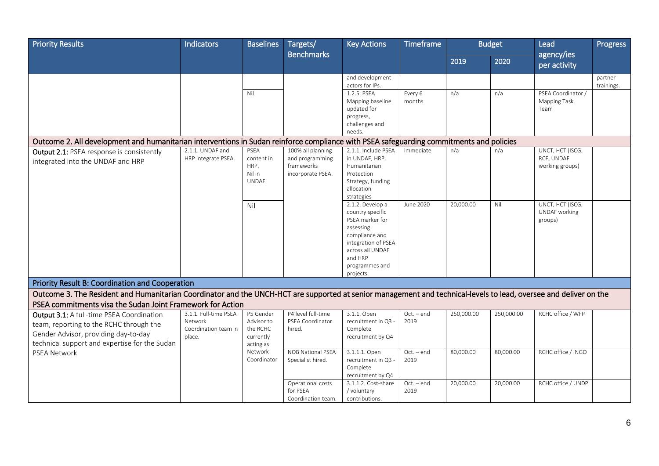| <b>Priority Results</b>                                                                                                                                                       | Indicators                                                         | <b>Baselines</b>                                              | Targets/<br><b>Benchmarks</b>                                           | <b>Key Actions</b>                                                                                                                                                          | <b>Timeframe</b>     |            | <b>Budget</b> | Lead<br>agency/ies                                | Progress              |
|-------------------------------------------------------------------------------------------------------------------------------------------------------------------------------|--------------------------------------------------------------------|---------------------------------------------------------------|-------------------------------------------------------------------------|-----------------------------------------------------------------------------------------------------------------------------------------------------------------------------|----------------------|------------|---------------|---------------------------------------------------|-----------------------|
|                                                                                                                                                                               |                                                                    |                                                               |                                                                         |                                                                                                                                                                             |                      | 2019       | 2020          | per activity                                      |                       |
|                                                                                                                                                                               |                                                                    |                                                               |                                                                         | and development<br>actors for IPs.                                                                                                                                          |                      |            |               |                                                   | partner<br>trainings. |
|                                                                                                                                                                               |                                                                    | Nil                                                           |                                                                         | 1.2.5. PSEA<br>Mapping baseline<br>updated for<br>progress,<br>challenges and<br>needs.                                                                                     | Every 6<br>months    | n/a        | n/a           | PSEA Coordinator /<br>Mapping Task<br>Team        |                       |
| Outcome 2. All development and humanitarian interventions in Sudan reinforce compliance with PSEA safeguarding commitments and policies                                       |                                                                    |                                                               |                                                                         |                                                                                                                                                                             |                      |            |               |                                                   |                       |
| Output 2.1: PSEA response is consistently<br>integrated into the UNDAF and HRP                                                                                                | 2.1.1. UNDAF and<br>HRP integrate PSEA.                            | PSEA<br>content in<br>HRP.<br>Nil in<br>UNDAF.                | 100% all planning<br>and programming<br>frameworks<br>incorporate PSEA. | 2.1.1. Include PSEA<br>in UNDAF, HRP,<br>Humanitarian<br>Protection<br>Strategy, funding<br>allocation<br>strategies                                                        | immediate            | n/a        | n/a           | UNCT, HCT (ISCG,<br>RCF, UNDAF<br>working groups) |                       |
|                                                                                                                                                                               |                                                                    | Nil                                                           |                                                                         | 2.1.2. Develop a<br>country specific<br>PSEA marker for<br>assessing<br>compliance and<br>integration of PSEA<br>across all UNDAF<br>and HRP<br>programmes and<br>projects. | June 2020            | 20,000.00  | Nil           | UNCT, HCT (ISCG,<br>UNDAF working<br>groups)      |                       |
| Priority Result B: Coordination and Cooperation                                                                                                                               |                                                                    |                                                               |                                                                         |                                                                                                                                                                             |                      |            |               |                                                   |                       |
| Outcome 3. The Resident and Humanitarian Coordinator and the UNCH-HCT are supported at senior management and technical-levels to lead, oversee and deliver on the             |                                                                    |                                                               |                                                                         |                                                                                                                                                                             |                      |            |               |                                                   |                       |
| PSEA commitments visa the Sudan Joint Framework for Action                                                                                                                    |                                                                    |                                                               |                                                                         |                                                                                                                                                                             |                      |            |               |                                                   |                       |
| Output 3.1: A full-time PSEA Coordination<br>team, reporting to the RCHC through the<br>Gender Advisor, providing day-to-day<br>technical support and expertise for the Sudan | 3.1.1. Full-time PSEA<br>Network<br>Coordination team in<br>place. | P5 Gender<br>Advisor to<br>the RCHC<br>currently<br>acting as | P4 level full-time<br>PSEA Coordinator<br>hired.                        | 3.1.1. Open<br>recruitment in Q3 -<br>Complete<br>recruitment by Q4                                                                                                         | $Oct. - end$<br>2019 | 250,000.00 | 250,000.00    | RCHC office / WFP                                 |                       |
| <b>PSEA Network</b>                                                                                                                                                           |                                                                    | Network<br>Coordinator                                        | <b>NOB National PSEA</b><br>Specialist hired.                           | 3.1.1.1. Open<br>recruitment in Q3 -<br>Complete<br>recruitment by Q4                                                                                                       | $Oct. - end$<br>2019 | 80,000.00  | 80,000.00     | RCHC office / INGO                                |                       |
|                                                                                                                                                                               |                                                                    |                                                               | Operational costs<br>for PSEA<br>Coordination team.                     | 3.1.1.2. Cost-share<br>/ voluntary<br>contributions.                                                                                                                        | $Oct. - end$<br>2019 | 20,000.00  | 20,000.00     | RCHC office / UNDP                                |                       |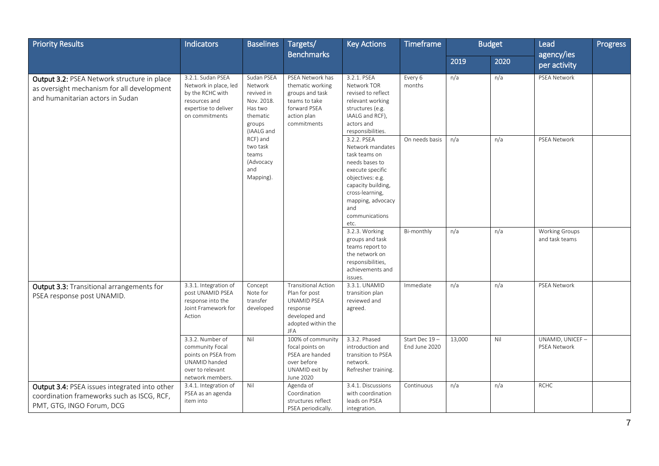| <b>Priority Results</b>                                                                                                       | <b>Indicators</b>                                                                                                         | <b>Baselines</b>                                                                                 | Targets/                                                                                                                    | <b>Key Actions</b>                                                                                                                                                                                        | <b>Timeframe</b>               |        | <b>Budget</b> | Lead                                    | Progress |
|-------------------------------------------------------------------------------------------------------------------------------|---------------------------------------------------------------------------------------------------------------------------|--------------------------------------------------------------------------------------------------|-----------------------------------------------------------------------------------------------------------------------------|-----------------------------------------------------------------------------------------------------------------------------------------------------------------------------------------------------------|--------------------------------|--------|---------------|-----------------------------------------|----------|
|                                                                                                                               |                                                                                                                           |                                                                                                  | <b>Benchmarks</b>                                                                                                           |                                                                                                                                                                                                           |                                | 2019   | 2020          | agency/ies<br>per activity              |          |
| Output 3.2: PSEA Network structure in place<br>as oversight mechanism for all development<br>and humanitarian actors in Sudan | 3.2.1. Sudan PSEA<br>Network in place, led<br>by the RCHC with<br>resources and<br>expertise to deliver<br>on commitments | Sudan PSEA<br>Network<br>revived in<br>Nov. 2018.<br>Has two<br>thematic<br>groups<br>(IAALG and | PSEA Network has<br>thematic working<br>groups and task<br>teams to take<br>forward PSEA<br>action plan<br>commitments      | 3.2.1. PSEA<br>Network TOR<br>revised to reflect<br>relevant working<br>structures (e.g.<br>IAALG and RCF),<br>actors and<br>responsibilities.                                                            | Every 6<br>months              | n/a    | n/a           | <b>PSEA Network</b>                     |          |
|                                                                                                                               |                                                                                                                           | RCF) and<br>two task<br>teams<br>(Advocacy<br>and<br>Mapping).                                   |                                                                                                                             | 3.2.2. PSEA<br>Network mandates<br>task teams on<br>needs bases to<br>execute specific<br>objectives: e.g.<br>capacity building,<br>cross-learning,<br>mapping, advocacy<br>and<br>communications<br>etc. | On needs basis                 | n/a    | n/a           | PSEA Network                            |          |
|                                                                                                                               |                                                                                                                           |                                                                                                  |                                                                                                                             | 3.2.3. Working<br>groups and task<br>teams report to<br>the network on<br>responsibilities,<br>achievements and<br>issues.                                                                                | Bi-monthly                     | n/a    | n/a           | <b>Working Groups</b><br>and task teams |          |
| Output 3.3: Transitional arrangements for<br>PSEA response post UNAMID.                                                       | 3.3.1. Integration of<br>post UNAMID PSEA<br>response into the<br>Joint Framework for<br>Action                           | Concept<br>Note for<br>transfer<br>developed                                                     | <b>Transitional Action</b><br>Plan for post<br>UNAMID PSEA<br>response<br>developed and<br>adopted within the<br><b>JFA</b> | 3.3.1. UNAMID<br>transition plan<br>reviewed and<br>agreed.                                                                                                                                               | Immediate                      | n/a    | n/a           | PSEA Network                            |          |
|                                                                                                                               | 3.3.2. Number of<br>community Focal<br>points on PSEA from<br>UNAMID handed<br>over to relevant<br>network members.       | Nil                                                                                              | 100% of community<br>focal points on<br>PSEA are handed<br>over before<br>UNAMID exit by<br>June 2020                       | 3.3.2. Phased<br>introduction and<br>transition to PSEA<br>network.<br>Refresher training.                                                                                                                | Start Dec 19-<br>End June 2020 | 13,000 | Nil           | UNAMID, UNICEF-<br><b>PSEA Network</b>  |          |
| Output 3.4: PSEA issues integrated into other<br>coordination frameworks such as ISCG, RCF,<br>PMT, GTG, INGO Forum, DCG      | 3.4.1. Integration of<br>PSEA as an agenda<br>item into                                                                   | Nil                                                                                              | Agenda of<br>Coordination<br>structures reflect<br>PSEA periodically.                                                       | 3.4.1. Discussions<br>with coordination<br>leads on PSEA<br>integration.                                                                                                                                  | Continuous                     | n/a    | n/a           | <b>RCHC</b>                             |          |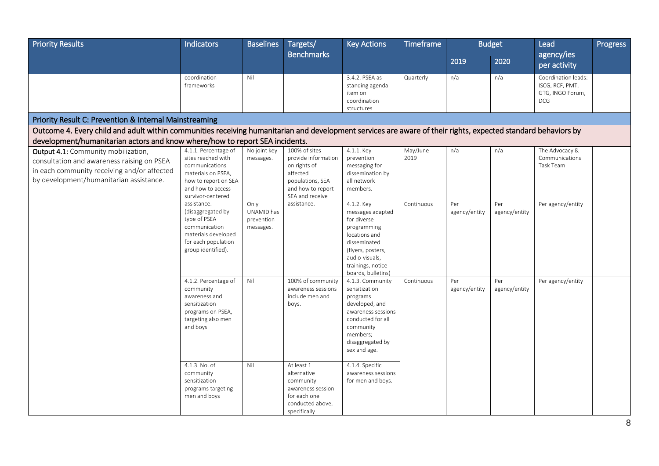| <b>Priority Results</b>                                                                                                                                                     | Indicators                                                                                                                                           | <b>Baselines</b>                              | Targets/<br><b>Benchmarks</b>                                                                                                | <b>Key Actions</b>                                                                                                                                                                         | <b>Timeframe</b> |                      | <b>Budget</b>        | Lead                                                                     | Progress |
|-----------------------------------------------------------------------------------------------------------------------------------------------------------------------------|------------------------------------------------------------------------------------------------------------------------------------------------------|-----------------------------------------------|------------------------------------------------------------------------------------------------------------------------------|--------------------------------------------------------------------------------------------------------------------------------------------------------------------------------------------|------------------|----------------------|----------------------|--------------------------------------------------------------------------|----------|
|                                                                                                                                                                             |                                                                                                                                                      |                                               |                                                                                                                              |                                                                                                                                                                                            |                  | 2019                 | 2020                 | agency/ies<br>per activity                                               |          |
|                                                                                                                                                                             | coordination<br>frameworks                                                                                                                           | Nil                                           |                                                                                                                              | 3.4.2. PSEA as<br>standing agenda<br>item on<br>coordination<br>structures                                                                                                                 | Quarterly        | n/a                  | n/a                  | Coordination leads:<br>ISCG, RCF, PMT,<br>GTG, INGO Forum,<br><b>DCG</b> |          |
| Priority Result C: Prevention & Internal Mainstreaming                                                                                                                      |                                                                                                                                                      |                                               |                                                                                                                              |                                                                                                                                                                                            |                  |                      |                      |                                                                          |          |
| Outcome 4. Every child and adult within communities receiving humanitarian and development services are aware of their rights, expected standard behaviors by               |                                                                                                                                                      |                                               |                                                                                                                              |                                                                                                                                                                                            |                  |                      |                      |                                                                          |          |
| development/humanitarian actors and know where/how to report SEA incidents.                                                                                                 |                                                                                                                                                      |                                               |                                                                                                                              |                                                                                                                                                                                            |                  |                      |                      |                                                                          |          |
| Output 4.1: Community mobilization,<br>consultation and awareness raising on PSEA<br>in each community receiving and/or affected<br>by development/humanitarian assistance. | 4.1.1. Percentage of<br>sites reached with<br>communications<br>materials on PSEA.<br>how to report on SEA<br>and how to access<br>survivor-centered | No joint key<br>messages.                     | 100% of sites<br>provide information<br>on rights of<br>affected<br>populations, SEA<br>and how to report<br>SEA and receive | 4.1.1. Key<br>prevention<br>messaging for<br>dissemination by<br>all network<br>members.                                                                                                   | May/June<br>2019 | n/a                  | n/a                  | The Advocacy &<br>Communications<br>Task Team                            |          |
|                                                                                                                                                                             | assistance.<br>(disaggregated by<br>type of PSEA<br>communication<br>materials developed<br>for each population<br>group identified).                | Only<br>UNAMID has<br>prevention<br>messages. | assistance.                                                                                                                  | 4.1.2. Key<br>messages adapted<br>for diverse<br>programming<br>locations and<br>disseminated<br>(flyers, posters,<br>audio-visuals,<br>trainings, notice<br>boards, bulletins)            | Continuous       | Per<br>agency/entity | Per<br>agency/entity | Per agency/entity                                                        |          |
|                                                                                                                                                                             | 4.1.2. Percentage of<br>community<br>awareness and<br>sensitization<br>programs on PSEA,<br>targeting also men<br>and boys<br>4.1.3. No. of          | Nil<br>Nil                                    | 100% of community<br>awareness sessions<br>include men and<br>boys.<br>At least 1                                            | 4.1.3. Community<br>sensitization<br>programs<br>developed, and<br>awareness sessions<br>conducted for all<br>community<br>members;<br>disaggregated by<br>sex and age.<br>4.1.4. Specific | Continuous       | Per<br>agency/entity | Per<br>agency/entity | Per agency/entity                                                        |          |
|                                                                                                                                                                             | community<br>sensitization<br>programs targeting<br>men and boys                                                                                     |                                               | alternative<br>community<br>awareness session<br>for each one<br>conducted above,<br>specifically                            | awareness sessions<br>for men and boys.                                                                                                                                                    |                  |                      |                      |                                                                          |          |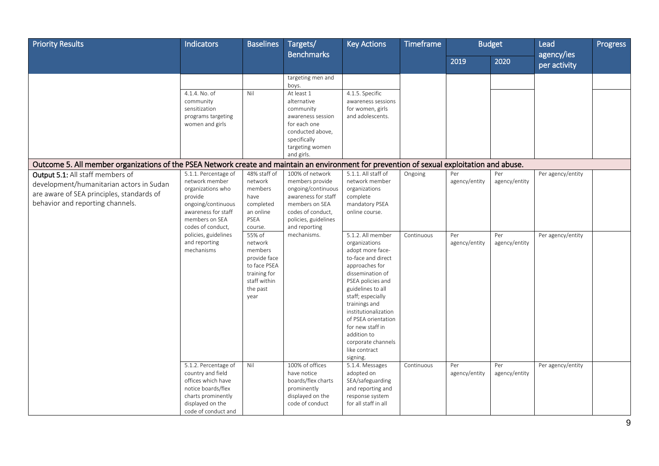| <b>Priority Results</b>                                                                                                                                       | Indicators                                                                                                                                                                                                        | <b>Baselines</b>                                                                                                                                        | Targets/                                                                                                                                                                       | <b>Key Actions</b>                                                                                                                                                                                                                    | Timeframe             |                                              | <b>Budget</b>                                | Lead                                   | Progress |
|---------------------------------------------------------------------------------------------------------------------------------------------------------------|-------------------------------------------------------------------------------------------------------------------------------------------------------------------------------------------------------------------|---------------------------------------------------------------------------------------------------------------------------------------------------------|--------------------------------------------------------------------------------------------------------------------------------------------------------------------------------|---------------------------------------------------------------------------------------------------------------------------------------------------------------------------------------------------------------------------------------|-----------------------|----------------------------------------------|----------------------------------------------|----------------------------------------|----------|
|                                                                                                                                                               |                                                                                                                                                                                                                   |                                                                                                                                                         | <b>Benchmarks</b>                                                                                                                                                              |                                                                                                                                                                                                                                       |                       | 2019                                         | 2020                                         | agency/ies<br>per activity             |          |
|                                                                                                                                                               |                                                                                                                                                                                                                   |                                                                                                                                                         | targeting men and<br>boys.                                                                                                                                                     |                                                                                                                                                                                                                                       |                       |                                              |                                              |                                        |          |
|                                                                                                                                                               | 4.1.4. No. of<br>community<br>sensitization<br>programs targeting<br>women and girls                                                                                                                              | Nil                                                                                                                                                     | At least 1<br>alternative<br>community<br>awareness session<br>for each one<br>conducted above,<br>specifically<br>targeting women<br>and girls.                               | 4.1.5. Specific<br>awareness sessions<br>for women, girls<br>and adolescents.                                                                                                                                                         |                       |                                              |                                              |                                        |          |
| Outcome 5. All member organizations of the PSEA Network create and maintain an environment for prevention of sexual exploitation and abuse.                   |                                                                                                                                                                                                                   |                                                                                                                                                         |                                                                                                                                                                                |                                                                                                                                                                                                                                       |                       |                                              |                                              |                                        |          |
| Output 5.1: All staff members of<br>development/humanitarian actors in Sudan<br>are aware of SEA principles, standards of<br>behavior and reporting channels. | 5.1.1. Percentage of<br>network member<br>organizations who<br>provide<br>ongoing/continuous<br>awareness for staff<br>members on SEA<br>codes of conduct,<br>policies, guidelines<br>and reporting<br>mechanisms | 48% staff of<br>network<br>members<br>have<br>completed<br>an online<br>PSEA<br>course.<br>55% of<br>network<br>members<br>provide face<br>to face PSEA | 100% of network<br>members provide<br>ongoing/continuous<br>awareness for staff<br>members on SEA<br>codes of conduct,<br>policies, guidelines<br>and reporting<br>mechanisms. | 5.1.1. All staff of<br>network member<br>organizations<br>complete<br>mandatory PSEA<br>online course.<br>5.1.2. All member<br>organizations<br>adopt more face-<br>to-face and direct<br>approaches for                              | Ongoing<br>Continuous | Per<br>agency/entity<br>Per<br>agency/entity | Per<br>agency/entity<br>Per<br>agency/entity | Per agency/entity<br>Per agency/entity |          |
|                                                                                                                                                               |                                                                                                                                                                                                                   | training for<br>staff within<br>the past<br>year                                                                                                        |                                                                                                                                                                                | dissemination of<br>PSEA policies and<br>guidelines to all<br>staff; especially<br>trainings and<br>institutionalization<br>of PSEA orientation<br>for new staff in<br>addition to<br>corporate channels<br>like contract<br>signing. |                       |                                              |                                              |                                        |          |
|                                                                                                                                                               | 5.1.2. Percentage of<br>country and field<br>offices which have<br>notice boards/flex<br>charts prominently<br>displayed on the<br>code of conduct and                                                            | Nil                                                                                                                                                     | 100% of offices<br>have notice<br>boards/flex charts<br>prominently<br>displayed on the<br>code of conduct                                                                     | 5.1.4. Messages<br>adopted on<br>SEA/safeguarding<br>and reporting and<br>response system<br>for all staff in all                                                                                                                     | Continuous            | Per<br>agency/entity                         | Per<br>agency/entity                         | Per agency/entity                      |          |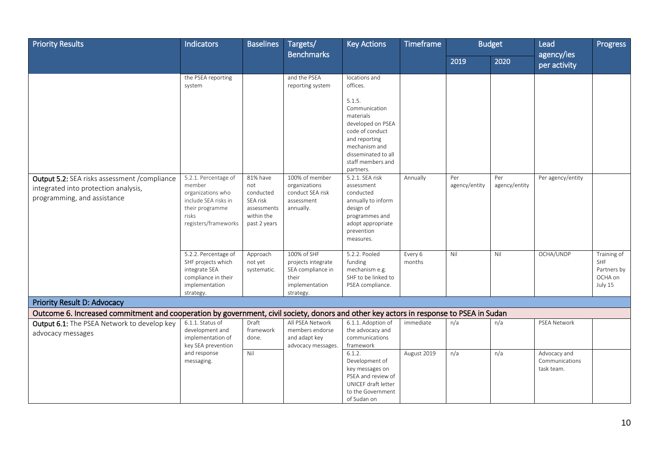| <b>Priority Results</b>                                                                                                                                               | <b>Indicators</b>                                                                                                                                  | <b>Baselines</b>                                                 | Targets/                                                                                                           | <b>Key Actions</b>                                                                                                                                                                                                                                                                    | <b>Timeframe</b>  |                      | <b>Budget</b>        | Lead                                         | Progress                                                       |
|-----------------------------------------------------------------------------------------------------------------------------------------------------------------------|----------------------------------------------------------------------------------------------------------------------------------------------------|------------------------------------------------------------------|--------------------------------------------------------------------------------------------------------------------|---------------------------------------------------------------------------------------------------------------------------------------------------------------------------------------------------------------------------------------------------------------------------------------|-------------------|----------------------|----------------------|----------------------------------------------|----------------------------------------------------------------|
|                                                                                                                                                                       |                                                                                                                                                    |                                                                  | <b>Benchmarks</b>                                                                                                  |                                                                                                                                                                                                                                                                                       |                   | 2019                 | 2020                 | agency/ies<br>per activity                   |                                                                |
| Output 5.2: SEA risks assessment / compliance<br>integrated into protection analysis,<br>programming, and assistance                                                  | the PSEA reporting<br>system<br>5.2.1. Percentage of<br>member<br>organizations who<br>include SEA risks in<br>their programme                     | 81% have<br>not<br>conducted<br>SEA risk<br>assessments          | and the PSEA<br>reporting system<br>100% of member<br>organizations<br>conduct SEA risk<br>assessment<br>annually. | locations and<br>offices.<br>5.1.5.<br>Communication<br>materials<br>developed on PSEA<br>code of conduct<br>and reporting<br>mechanism and<br>disseminated to all<br>staff members and<br>partners.<br>5.2.1. SEA risk<br>assessment<br>conducted<br>annually to inform<br>design of | Annually          | Per<br>agency/entity | Per<br>agency/entity | Per agency/entity                            |                                                                |
|                                                                                                                                                                       | risks<br>registers/frameworks<br>5.2.2. Percentage of<br>SHF projects which<br>integrate SEA<br>compliance in their<br>implementation<br>strategy. | within the<br>past 2 years<br>Approach<br>not yet<br>systematic. | 100% of SHF<br>projects integrate<br>SEA compliance in<br>their<br>implementation<br>strategy.                     | programmes and<br>adopt appropriate<br>prevention<br>measures.<br>5.2.2. Pooled<br>funding<br>mechanism e.g.<br>SHF to be linked to<br>PSEA compliance.                                                                                                                               | Every 6<br>months | Nil                  | Nil                  | OCHA/UNDP                                    | Training of<br><b>SHF</b><br>Partners by<br>OCHA on<br>July 15 |
| Priority Result D: Advocacy<br>Outcome 6. Increased commitment and cooperation by government, civil society, donors and other key actors in response to PSEA in Sudan |                                                                                                                                                    |                                                                  |                                                                                                                    |                                                                                                                                                                                                                                                                                       |                   |                      |                      |                                              |                                                                |
| Output 6.1: The PSEA Network to develop key                                                                                                                           | 6.1.1. Status of                                                                                                                                   | Draft                                                            | All PSEA Network                                                                                                   | 6.1.1. Adoption of                                                                                                                                                                                                                                                                    | immediate         | n/a                  | n/a                  | PSEA Network                                 |                                                                |
| advocacy messages                                                                                                                                                     | development and<br>implementation of<br>key SEA prevention                                                                                         | framework<br>done.                                               | members endorse<br>and adapt key<br>advocacy messages.                                                             | the advocacy and<br>communications<br>framework                                                                                                                                                                                                                                       |                   |                      |                      |                                              |                                                                |
|                                                                                                                                                                       | and response<br>messaging.                                                                                                                         | Nil                                                              |                                                                                                                    | 6.1.2.<br>Development of<br>key messages on<br>PSEA and review of<br>UNICEF draft letter<br>to the Government<br>of Sudan on                                                                                                                                                          | August 2019       | n/a                  | n/a                  | Advocacy and<br>Communications<br>task team. |                                                                |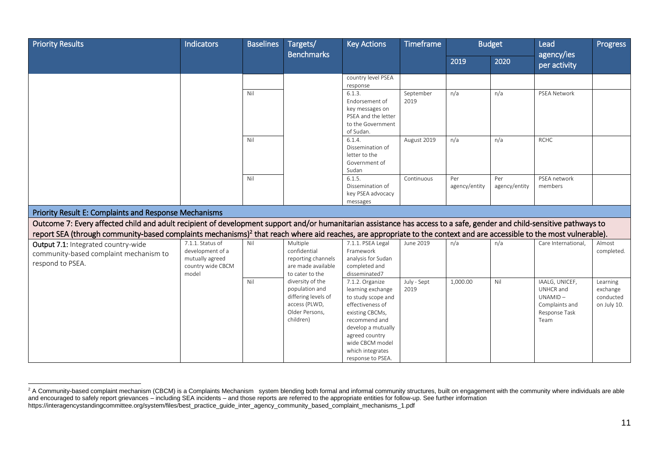| <b>Priority Results</b>                                                                                                                                                          | <b>Indicators</b>                                                                     | <b>Baselines</b> | Targets/<br><b>Benchmarks</b>                                                                             | <b>Key Actions</b>                                                                                                                                                                                                     | <b>Timeframe</b>    |                      | <b>Budget</b>        | Lead                                                                              | Progress                                         |
|----------------------------------------------------------------------------------------------------------------------------------------------------------------------------------|---------------------------------------------------------------------------------------|------------------|-----------------------------------------------------------------------------------------------------------|------------------------------------------------------------------------------------------------------------------------------------------------------------------------------------------------------------------------|---------------------|----------------------|----------------------|-----------------------------------------------------------------------------------|--------------------------------------------------|
|                                                                                                                                                                                  |                                                                                       |                  |                                                                                                           |                                                                                                                                                                                                                        |                     | 2019                 | 2020                 | agency/ies<br>per activity                                                        |                                                  |
|                                                                                                                                                                                  |                                                                                       |                  |                                                                                                           | country level PSEA<br>response                                                                                                                                                                                         |                     |                      |                      |                                                                                   |                                                  |
|                                                                                                                                                                                  |                                                                                       | Nil              |                                                                                                           | 6.1.3.<br>Endorsement of<br>key messages on<br>PSEA and the letter<br>to the Government<br>of Sudan.                                                                                                                   | September<br>2019   | n/a                  | n/a                  | <b>PSEA Network</b>                                                               |                                                  |
|                                                                                                                                                                                  |                                                                                       | Nil              |                                                                                                           | 6.1.4.<br>Dissemination of<br>letter to the<br>Government of<br>Sudan                                                                                                                                                  | August 2019         | n/a                  | n/a                  | <b>RCHC</b>                                                                       |                                                  |
|                                                                                                                                                                                  |                                                                                       | Nil              |                                                                                                           | 6.1.5.<br>Dissemination of<br>key PSEA advocacy<br>messages                                                                                                                                                            | Continuous          | Per<br>agency/entity | Per<br>agency/entity | PSEA network<br>members                                                           |                                                  |
| Priority Result E: Complaints and Response Mechanisms                                                                                                                            |                                                                                       |                  |                                                                                                           |                                                                                                                                                                                                                        |                     |                      |                      |                                                                                   |                                                  |
| Outcome 7: Every affected child and adult recipient of development support and/or humanitarian assistance has access to a safe, gender and child-sensitive pathways to           |                                                                                       |                  |                                                                                                           |                                                                                                                                                                                                                        |                     |                      |                      |                                                                                   |                                                  |
| report SEA (through community-based complaints mechanisms) <sup>2</sup> that reach where aid reaches, are appropriate to the context and are accessible to the most vulnerable). |                                                                                       |                  |                                                                                                           |                                                                                                                                                                                                                        |                     |                      |                      |                                                                                   |                                                  |
| Output 7.1: Integrated country-wide<br>community-based complaint mechanism to<br>respond to PSEA.                                                                                | 7.1.1. Status of<br>development of a<br>mutually agreed<br>country wide CBCM<br>model | Nil              | Multiple<br>confidential<br>reporting channels<br>are made available<br>to cater to the                   | 7.1.1. PSEA Legal<br>Framework<br>analysis for Sudan<br>completed and<br>disseminated7                                                                                                                                 | June 2019           | n/a                  | n/a                  | Care International.                                                               | Almost<br>completed.                             |
|                                                                                                                                                                                  |                                                                                       | Nil              | diversity of the<br>population and<br>differing levels of<br>access (PLWD,<br>Older Persons,<br>children) | 7.1.2. Organize<br>learning exchange<br>to study scope and<br>effectiveness of<br>existing CBCMs,<br>recommend and<br>develop a mutually<br>agreed country<br>wide CBCM model<br>which integrates<br>response to PSEA. | July - Sept<br>2019 | 1,000.00             | Nil                  | IAALG, UNICEF,<br>UNHCR and<br>UNAMID-<br>Complaints and<br>Response Task<br>Team | Learning<br>exchange<br>conducted<br>on July 10. |

 $\overline{a}$  $^2$  A Community-based complaint mechanism (CBCM) is a Complaints Mechanism system blending both formal and informal community structures, built on engagement with the community where individuals are able and encouraged to safely report grievances – including SEA incidents – and those reports are referred to the appropriate entities for follow-up. See further information https://interagencystandingcommittee.org/system/files/best\_practice\_guide\_inter\_agency\_community\_based\_complaint\_mechanisms\_1.pdf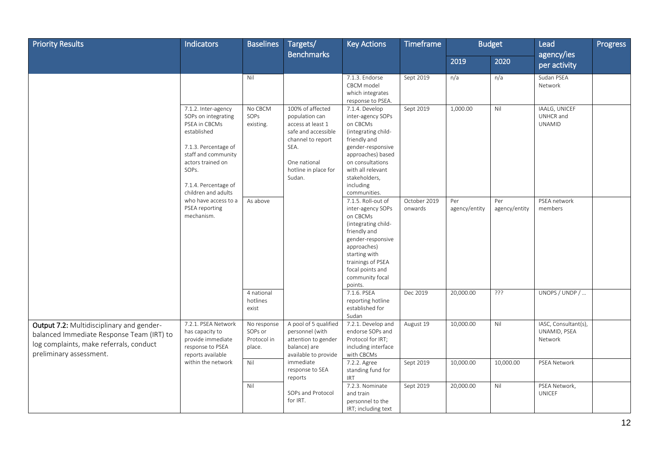| <b>Priority Results</b>                                                                                                                                      | Indicators                                                                                                                                                                                             | <b>Baselines</b>                                | Targets/                                                                                                                                                      | <b>Key Actions</b>                                                                                                                                                                                                      | <b>Timeframe</b>        |                      | <b>Budget</b>        | Lead                                            | Progress |
|--------------------------------------------------------------------------------------------------------------------------------------------------------------|--------------------------------------------------------------------------------------------------------------------------------------------------------------------------------------------------------|-------------------------------------------------|---------------------------------------------------------------------------------------------------------------------------------------------------------------|-------------------------------------------------------------------------------------------------------------------------------------------------------------------------------------------------------------------------|-------------------------|----------------------|----------------------|-------------------------------------------------|----------|
|                                                                                                                                                              |                                                                                                                                                                                                        |                                                 | <b>Benchmarks</b>                                                                                                                                             |                                                                                                                                                                                                                         |                         | 2019                 | 2020                 | agency/ies<br>per activity                      |          |
|                                                                                                                                                              |                                                                                                                                                                                                        | Nil                                             |                                                                                                                                                               | 7.1.3. Endorse<br>CBCM model<br>which integrates<br>response to PSEA.                                                                                                                                                   | Sept 2019               | n/a                  | n/a                  | Sudan PSEA<br>Network                           |          |
|                                                                                                                                                              | 7.1.2. Inter-agency<br>SOPs on integrating<br>PSEA in CBCMs<br>established<br>7.1.3. Percentage of<br>staff and community<br>actors trained on<br>SOPs.<br>7.1.4. Percentage of<br>children and adults | No CBCM<br>SOPs<br>existing.                    | 100% of affected<br>population can<br>access at least 1<br>safe and accessible<br>channel to report<br>SEA.<br>One national<br>hotline in place for<br>Sudan. | 7.1.4. Develop<br>inter-agency SOPs<br>on CBCMs<br>(integrating child-<br>friendly and<br>gender-responsive<br>approaches) based<br>on consultations<br>with all relevant<br>stakeholders,<br>including<br>communities. | Sept 2019               | 1,000.00             | Nil                  | IAALG, UNICEF<br>UNHCR and<br><b>UNAMID</b>     |          |
|                                                                                                                                                              | who have access to a<br>PSEA reporting<br>mechanism.                                                                                                                                                   | As above                                        |                                                                                                                                                               | 7.1.5. Roll-out of<br>inter-agency SOPs<br>on CBCMs<br>(integrating child-<br>friendly and<br>gender-responsive<br>approaches)<br>starting with<br>trainings of PSEA<br>focal points and<br>community focal<br>points.  | October 2019<br>onwards | Per<br>agency/entity | Per<br>agency/entity | PSEA network<br>members                         |          |
|                                                                                                                                                              |                                                                                                                                                                                                        | 4 national<br>hotlines<br>exist                 |                                                                                                                                                               | 7.1.6. PSEA<br>reporting hotline<br>established for<br>Sudan                                                                                                                                                            | Dec 2019                | 20,000.00            | ???                  | UNOPS / UNDP /                                  |          |
| Output 7.2: Multidisciplinary and gender-<br>balanced Immediate Response Team (IRT) to<br>log complaints, make referrals, conduct<br>preliminary assessment. | 7.2.1. PSEA Network<br>has capacity to<br>provide immediate<br>response to PSEA<br>reports available                                                                                                   | No response<br>SOPs or<br>Protocol in<br>place. | A pool of 5 qualified<br>personnel (with<br>attention to gender<br>balance) are<br>available to provide                                                       | 7.2.1. Develop and<br>endorse SOPs and<br>Protocol for IRT;<br>including interface<br>with CBCMs                                                                                                                        | August 19               | 10,000.00            | Nil                  | IASC, Consultant(s),<br>UNAMID, PSEA<br>Network |          |
|                                                                                                                                                              | within the network                                                                                                                                                                                     | Nil                                             | immediate<br>response to SEA<br>reports                                                                                                                       | 7.2.2. Agree<br>standing fund for<br><b>IRT</b>                                                                                                                                                                         | Sept 2019               | 10,000.00            | 10,000.00            | PSEA Network                                    |          |
|                                                                                                                                                              |                                                                                                                                                                                                        | Nil                                             | SOPs and Protocol<br>for IRT.                                                                                                                                 | 7.2.3. Nominate<br>and train<br>personnel to the<br>IRT; including text                                                                                                                                                 | Sept 2019               | 20,000.00            | Nil                  | PSEA Network,<br><b>UNICEF</b>                  |          |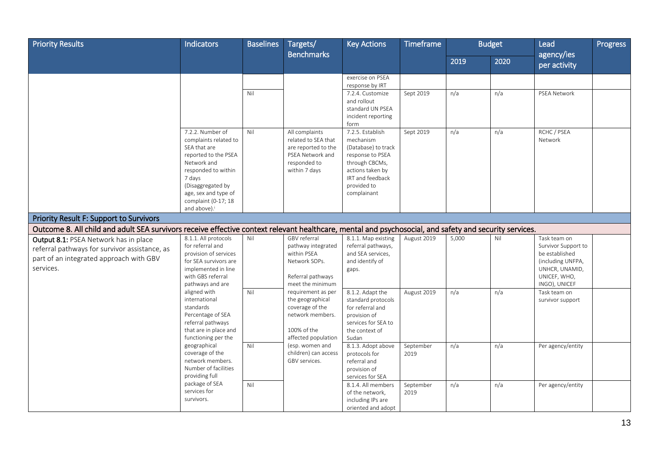| <b>Priority Results</b>                                                                                                                                | <b>Indicators</b>                                                                                                                                                                                                                 | <b>Baselines</b> | Targets/<br><b>Benchmarks</b>                                                                                     | <b>Key Actions</b>                                                                                                                                               | <b>Timeframe</b>  |       | <b>Budget</b> | Lead                                | Progress |
|--------------------------------------------------------------------------------------------------------------------------------------------------------|-----------------------------------------------------------------------------------------------------------------------------------------------------------------------------------------------------------------------------------|------------------|-------------------------------------------------------------------------------------------------------------------|------------------------------------------------------------------------------------------------------------------------------------------------------------------|-------------------|-------|---------------|-------------------------------------|----------|
|                                                                                                                                                        |                                                                                                                                                                                                                                   |                  |                                                                                                                   |                                                                                                                                                                  |                   | 2019  | 2020          | agency/ies<br>per activity          |          |
|                                                                                                                                                        |                                                                                                                                                                                                                                   |                  |                                                                                                                   | exercise on PSEA                                                                                                                                                 |                   |       |               |                                     |          |
|                                                                                                                                                        |                                                                                                                                                                                                                                   |                  |                                                                                                                   | response by IRT                                                                                                                                                  |                   |       |               |                                     |          |
|                                                                                                                                                        |                                                                                                                                                                                                                                   | Nil              |                                                                                                                   | 7.2.4. Customize<br>and rollout<br>standard UN PSEA<br>incident reporting<br>form                                                                                | Sept 2019         | n/a   | n/a           | PSEA Network                        |          |
|                                                                                                                                                        | 7.2.2. Number of<br>complaints related to<br>SEA that are<br>reported to the PSEA<br>Network and<br>responded to within<br>7 days<br>(Disaggregated by<br>age, sex and type of<br>complaint (0-17; 18<br>and above). <sup>i</sup> | Nil              | All complaints<br>related to SEA that<br>are reported to the<br>PSEA Network and<br>responded to<br>within 7 days | 7.2.5. Establish<br>mechanism<br>(Database) to track<br>response to PSEA<br>through CBCMs,<br>actions taken by<br>IRT and feedback<br>provided to<br>complainant | Sept 2019         | n/a   | n/a           | RCHC / PSEA<br>Network              |          |
| <b>Priority Result F: Support to Survivors</b>                                                                                                         |                                                                                                                                                                                                                                   |                  |                                                                                                                   |                                                                                                                                                                  |                   |       |               |                                     |          |
| Outcome 8. All child and adult SEA survivors receive effective context relevant healthcare, mental and psychosocial, and safety and security services. |                                                                                                                                                                                                                                   |                  |                                                                                                                   |                                                                                                                                                                  |                   |       |               |                                     |          |
| Output 8.1: PSEA Network has in place                                                                                                                  | 8.1.1. All protocols                                                                                                                                                                                                              | Nil              | GBV referral                                                                                                      | 8.1.1. Map existing                                                                                                                                              | August 2019       | 5,000 | Nil           | Task team on                        |          |
| referral pathways for survivor assistance, as                                                                                                          | for referral and                                                                                                                                                                                                                  |                  | pathway integrated                                                                                                | referral pathways,                                                                                                                                               |                   |       |               | Survivor Support to                 |          |
| part of an integrated approach with GBV                                                                                                                | provision of services<br>for SEA survivors are                                                                                                                                                                                    |                  | within PSEA<br>Network SOPs.                                                                                      | and SEA services,                                                                                                                                                |                   |       |               | be established                      |          |
| services.                                                                                                                                              | implemented in line                                                                                                                                                                                                               |                  |                                                                                                                   | and identify of<br>gaps.                                                                                                                                         |                   |       |               | (including UNFPA,<br>UNHCR, UNAMID, |          |
|                                                                                                                                                        | with GBS referral                                                                                                                                                                                                                 |                  | Referral pathways                                                                                                 |                                                                                                                                                                  |                   |       |               | UNICEF, WHO,                        |          |
|                                                                                                                                                        | pathways and are                                                                                                                                                                                                                  |                  | meet the minimum                                                                                                  |                                                                                                                                                                  |                   |       |               | INGO), UNICEF                       |          |
|                                                                                                                                                        | aligned with                                                                                                                                                                                                                      | Nil              | requirement as per                                                                                                | 8.1.2. Adapt the                                                                                                                                                 | August 2019       | n/a   | n/a           | Task team on                        |          |
|                                                                                                                                                        | international                                                                                                                                                                                                                     |                  | the geographical                                                                                                  | standard protocols                                                                                                                                               |                   |       |               | survivor support                    |          |
|                                                                                                                                                        | standards                                                                                                                                                                                                                         |                  | coverage of the                                                                                                   | for referral and                                                                                                                                                 |                   |       |               |                                     |          |
|                                                                                                                                                        | Percentage of SEA<br>referral pathways                                                                                                                                                                                            |                  | network members.                                                                                                  | provision of<br>services for SEA to                                                                                                                              |                   |       |               |                                     |          |
|                                                                                                                                                        | that are in place and                                                                                                                                                                                                             |                  | 100% of the                                                                                                       | the context of                                                                                                                                                   |                   |       |               |                                     |          |
|                                                                                                                                                        | functioning per the                                                                                                                                                                                                               |                  | affected population                                                                                               | Sudan                                                                                                                                                            |                   |       |               |                                     |          |
|                                                                                                                                                        | geographical                                                                                                                                                                                                                      | Nil              | (esp. women and                                                                                                   | 8.1.3. Adopt above                                                                                                                                               | September         | n/a   | n/a           | Per agency/entity                   |          |
|                                                                                                                                                        | coverage of the                                                                                                                                                                                                                   |                  | children) can access                                                                                              | protocols for                                                                                                                                                    | 2019              |       |               |                                     |          |
|                                                                                                                                                        | network members.                                                                                                                                                                                                                  |                  | GBV services.                                                                                                     | referral and                                                                                                                                                     |                   |       |               |                                     |          |
|                                                                                                                                                        | Number of facilities                                                                                                                                                                                                              |                  |                                                                                                                   | provision of                                                                                                                                                     |                   |       |               |                                     |          |
|                                                                                                                                                        | providing full<br>package of SEA                                                                                                                                                                                                  | Nil              |                                                                                                                   | services for SEA                                                                                                                                                 |                   |       |               |                                     |          |
|                                                                                                                                                        | services for                                                                                                                                                                                                                      |                  |                                                                                                                   | 8.1.4. All members<br>of the network,                                                                                                                            | September<br>2019 | n/a   | n/a           | Per agency/entity                   |          |
|                                                                                                                                                        | survivors.                                                                                                                                                                                                                        |                  |                                                                                                                   | including IPs are                                                                                                                                                |                   |       |               |                                     |          |
|                                                                                                                                                        |                                                                                                                                                                                                                                   |                  |                                                                                                                   | oriented and adopt                                                                                                                                               |                   |       |               |                                     |          |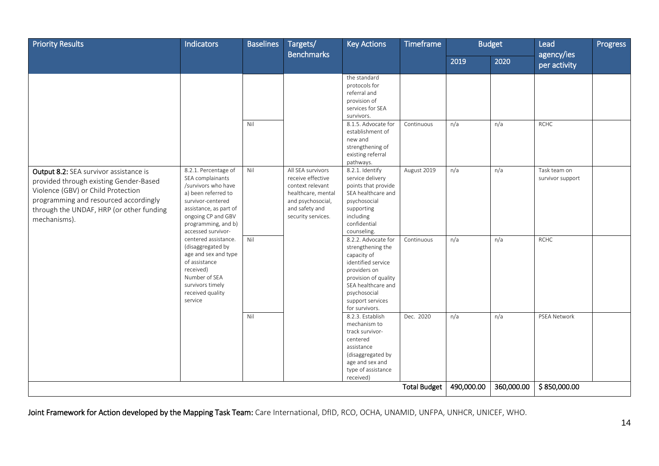| <b>Priority Results</b>                                                                                                                                                           | Indicators                                                                                                                                                                       | <b>Baselines</b> | Targets/<br><b>Benchmarks</b>                                                                                            | <b>Key Actions</b>                                                                                                                                                                                                             | Timeframe                 |            | <b>Budget</b><br>Lead<br>agency/ies |                             | <b>Progress</b> |
|-----------------------------------------------------------------------------------------------------------------------------------------------------------------------------------|----------------------------------------------------------------------------------------------------------------------------------------------------------------------------------|------------------|--------------------------------------------------------------------------------------------------------------------------|--------------------------------------------------------------------------------------------------------------------------------------------------------------------------------------------------------------------------------|---------------------------|------------|-------------------------------------|-----------------------------|-----------------|
|                                                                                                                                                                                   |                                                                                                                                                                                  |                  |                                                                                                                          |                                                                                                                                                                                                                                |                           | 2019       | 2020                                | per activity                |                 |
| Output 8.2: SEA survivor assistance is                                                                                                                                            | 8.2.1. Percentage of                                                                                                                                                             | Nil<br>Nil       | All SEA survivors                                                                                                        | the standard<br>protocols for<br>referral and<br>provision of<br>services for SEA<br>survivors.<br>8.1.5. Advocate for<br>establishment of<br>new and<br>strengthening of<br>existing referral<br>pathways.<br>8.2.1. Identify | Continuous<br>August 2019 | n/a<br>n/a | n/a<br>n/a                          | <b>RCHC</b><br>Task team on |                 |
| provided through existing Gender-Based<br>Violence (GBV) or Child Protection<br>programming and resourced accordingly<br>through the UNDAF, HRP (or other funding<br>mechanisms). | SEA complainants<br>/survivors who have<br>a) been referred to<br>survivor-centered<br>assistance, as part of<br>ongoing CP and GBV<br>programming, and b)<br>accessed survivor- |                  | receive effective<br>context relevant<br>healthcare, mental<br>and psychosocial,<br>and safety and<br>security services. | service delivery<br>points that provide<br>SEA healthcare and<br>psychosocial<br>supporting<br>including<br>confidential<br>counseling.                                                                                        |                           |            |                                     | survivor support            |                 |
|                                                                                                                                                                                   | centered assistance.<br>(disaggregated by<br>age and sex and type<br>of assistance<br>received)<br>Number of SEA<br>survivors timely<br>received quality<br>service              | Nil              |                                                                                                                          | 8.2.2. Advocate for<br>strengthening the<br>capacity of<br>identified service<br>providers on<br>provision of quality<br>SEA healthcare and<br>psychosocial<br>support services<br>for survivors.                              | Continuous                | n/a        | n/a                                 | <b>RCHC</b>                 |                 |
|                                                                                                                                                                                   |                                                                                                                                                                                  | Nil              |                                                                                                                          | 8.2.3. Establish<br>mechanism to<br>track survivor-<br>centered<br>assistance<br>(disaggregated by<br>age and sex and<br>type of assistance<br>received)                                                                       | Dec. 2020                 | n/a        | n/a                                 | PSEA Network                |                 |
|                                                                                                                                                                                   |                                                                                                                                                                                  |                  |                                                                                                                          |                                                                                                                                                                                                                                | <b>Total Budget</b>       | 490,000.00 | 360,000.00                          | \$850,000.00                |                 |

Joint Framework for Action developed by the Mapping Task Team: Care International, DfID, RCO, OCHA, UNAMID, UNFPA, UNHCR, UNICEF, WHO.